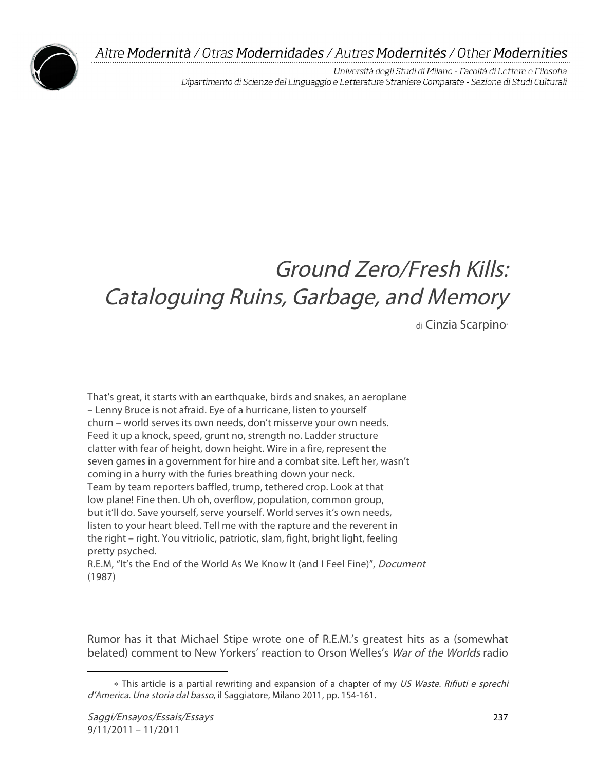

Università degli Studi di Milano - Facoltà di Lettere e Filosofia Dipartimento di Scienze del Linguaggio e Letterature Straniere Comparate - Sezione di Studi Culturali

# Ground Zero/Fresh Kills: Cataloguing Ruins, Garbage, and Memory

di Cinzia Scarpino<sup>∗</sup>

That's great, it starts with an earthquake, birds and snakes, an aeroplane – Lenny Bruce is not afraid. Eye of a hurricane, listen to yourself churn – world serves its own needs, don't misserve your own needs. Feed it up a knock, speed, grunt no, strength no. Ladder structure clatter with fear of height, down height. Wire in a fire, represent the seven games in a government for hire and a combat site. Left her, wasn't coming in a hurry with the furies breathing down your neck. Team by team reporters baffled, trump, tethered crop. Look at that low plane! Fine then. Uh oh, overflow, population, common group, but it'll do. Save yourself, serve yourself. World serves it's own needs, listen to your heart bleed. Tell me with the rapture and the reverent in the right – right. You vitriolic, patriotic, slam, fight, bright light, feeling pretty psyched.

R.E.M, "It's the End of the World As We Know It (and I Feel Fine)", Document (1987)

Rumor has it that Michael Stipe wrote one of R.E.M.'s greatest hits as a (somewhat belated) comment to New Yorkers' reaction to Orson Welles's War of the Worlds radio

<sup>∗</sup> This article is a partial rewriting and expansion of a chapter of my US Waste. Rifiuti e sprechi d'America. Una storia dal basso, il Saggiatore, Milano 2011, pp. 154-161.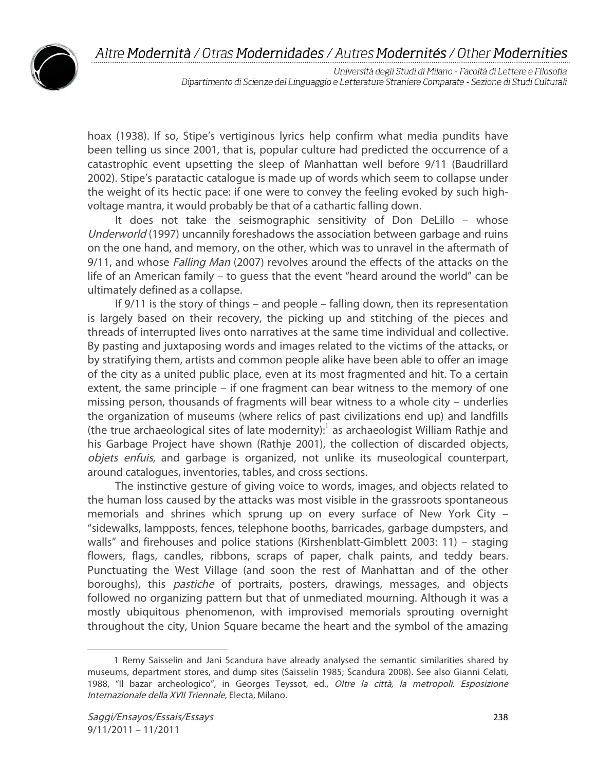

Università degli Studi di Milano - Facoltà di Lettere e Filosofia Dipartimento di Scienze del Linguaggio e Letterature Straniere Comparate - Sezione di Studi Culturali

hoax (1938). If so, Stipe's vertiginous lyrics help confirm what media pundits have been telling us since 2001, that is, popular culture had predicted the occurrence of a catastrophic event upsetting the sleep of Manhattan well before 9/11 (Baudrillard 2002). Stipe's paratactic catalogue is made up of words which seem to collapse under the weight of its hectic pace: if one were to convey the feeling evoked by such highvoltage mantra, it would probably be that of a cathartic falling down.

It does not take the seismographic sensitivity of Don DeLillo – whose Underworld (1997) uncannily foreshadows the association between garbage and ruins on the one hand, and memory, on the other, which was to unravel in the aftermath of 9/11, and whose *Falling Man* (2007) revolves around the effects of the attacks on the life of an American family – to guess that the event "heard around the world" can be ultimately defined as a collapse.

If 9/11 is the story of things – and people – falling down, then its representation is largely based on their recovery, the picking up and stitching of the pieces and threads of interrupted lives onto narratives at the same time individual and collective. By pasting and juxtaposing words and images related to the victims of the attacks, or by stratifying them, artists and common people alike have been able to offer an image of the city as a united public place, even at its most fragmented and hit. To a certain extent, the same principle – if one fragment can bear witness to the memory of one missing person, thousands of fragments will bear witness to a whole city – underlies the organization of museums (where relics of past civilizations end up) and landfills (the true archaeological sites of late modernity):<sup>1</sup> as archaeologist William Rathje and his Garbage Project have shown (Rathje 2001), the collection of discarded objects, objets enfuis, and garbage is organized, not unlike its museological counterpart, around catalogues, inventories, tables, and cross sections.

The instinctive gesture of giving voice to words, images, and objects related to the human loss caused by the attacks was most visible in the grassroots spontaneous memorials and shrines which sprung up on every surface of New York City – "sidewalks, lampposts, fences, telephone booths, barricades, garbage dumpsters, and walls" and firehouses and police stations (Kirshenblatt-Gimblett 2003: 11) – staging flowers, flags, candles, ribbons, scraps of paper, chalk paints, and teddy bears. Punctuating the West Village (and soon the rest of Manhattan and of the other boroughs), this pastiche of portraits, posters, drawings, messages, and objects followed no organizing pattern but that of unmediated mourning. Although it was a mostly ubiquitous phenomenon, with improvised memorials sprouting overnight throughout the city, Union Square became the heart and the symbol of the amazing

<sup>1</sup> Remy Saisselin and Jani Scandura have already analysed the semantic similarities shared by museums, department stores, and dump sites (Saisselin 1985; Scandura 2008). See also Gianni Celati, 1988, "Il bazar archeologico", in Georges Teyssot, ed., Oltre la città, la metropoli. Esposizione Internazionale della XVII Triennale, Electa, Milano.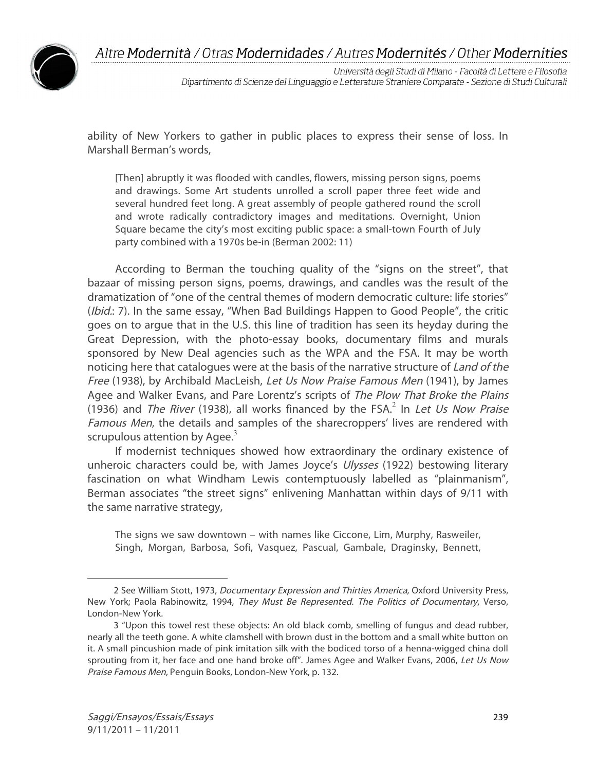

Università degli Studi di Milano - Facoltà di Lettere e Filosofia Dipartimento di Scienze del Linguaggio e Letterature Straniere Comparate - Sezione di Studi Culturali

ability of New Yorkers to gather in public places to express their sense of loss. In Marshall Berman's words,

[Then] abruptly it was flooded with candles, flowers, missing person signs, poems and drawings. Some Art students unrolled a scroll paper three feet wide and several hundred feet long. A great assembly of people gathered round the scroll and wrote radically contradictory images and meditations. Overnight, Union Square became the city's most exciting public space: a small-town Fourth of July party combined with a 1970s be-in (Berman 2002: 11)

According to Berman the touching quality of the "signs on the street", that bazaar of missing person signs, poems, drawings, and candles was the result of the dramatization of "one of the central themes of modern democratic culture: life stories" (*Ibid.*: 7). In the same essay, "When Bad Buildings Happen to Good People", the critic goes on to argue that in the U.S. this line of tradition has seen its heyday during the Great Depression, with the photo-essay books, documentary films and murals sponsored by New Deal agencies such as the WPA and the FSA. It may be worth noticing here that catalogues were at the basis of the narrative structure of Land of the Free (1938), by Archibald MacLeish, Let Us Now Praise Famous Men (1941), by James Agee and Walker Evans, and Pare Lorentz's scripts of The Plow That Broke the Plains (1936) and *The River* (1938), all works financed by the FSA.<sup>2</sup> In Let Us Now Praise Famous Men, the details and samples of the sharecroppers' lives are rendered with scrupulous attention by Agee. $3$ 

If modernist techniques showed how extraordinary the ordinary existence of unheroic characters could be, with James Joyce's Ulysses (1922) bestowing literary fascination on what Windham Lewis contemptuously labelled as "plainmanism", Berman associates "the street signs" enlivening Manhattan within days of 9/11 with the same narrative strategy,

The signs we saw downtown – with names like Ciccone, Lim, Murphy, Rasweiler, Singh, Morgan, Barbosa, Sofi, Vasquez, Pascual, Gambale, Draginsky, Bennett,

<sup>2</sup> See William Stott, 1973, Documentary Expression and Thirties America, Oxford University Press, New York; Paola Rabinowitz, 1994, They Must Be Represented. The Politics of Documentary, Verso, London-New York.

<sup>3</sup> "Upon this towel rest these objects: An old black comb, smelling of fungus and dead rubber, nearly all the teeth gone. A white clamshell with brown dust in the bottom and a small white button on it. A small pincushion made of pink imitation silk with the bodiced torso of a henna-wigged china doll sprouting from it, her face and one hand broke off". James Agee and Walker Evans, 2006, Let Us Now Praise Famous Men, Penguin Books, London-New York, p. 132.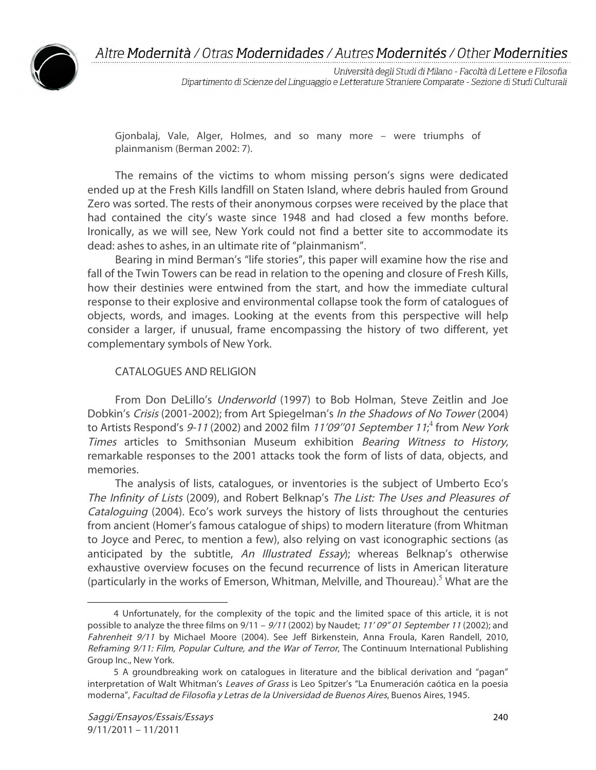

Università degli Studi di Milano - Facoltà di Lettere e Filosofia Dipartimento di Scienze del Linguaggio e Letterature Straniere Comparate - Sezione di Studi Culturali

Gjonbalaj, Vale, Alger, Holmes, and so many more – were triumphs of plainmanism (Berman 2002: 7).

The remains of the victims to whom missing person's signs were dedicated ended up at the Fresh Kills landfill on Staten Island, where debris hauled from Ground Zero was sorted. The rests of their anonymous corpses were received by the place that had contained the city's waste since 1948 and had closed a few months before. Ironically, as we will see, New York could not find a better site to accommodate its dead: ashes to ashes, in an ultimate rite of "plainmanism".

Bearing in mind Berman's "life stories", this paper will examine how the rise and fall of the Twin Towers can be read in relation to the opening and closure of Fresh Kills, how their destinies were entwined from the start, and how the immediate cultural response to their explosive and environmental collapse took the form of catalogues of objects, words, and images. Looking at the events from this perspective will help consider a larger, if unusual, frame encompassing the history of two different, yet complementary symbols of New York.

## CATALOGUES AND RELIGION

From Don DeLillo's *Underworld* (1997) to Bob Holman, Steve Zeitlin and Joe Dobkin's Crisis (2001-2002); from Art Spiegelman's In the Shadows of No Tower (2004) to Artists Respond's *9-11* (2002) and 2002 film *11'09''01 September 11*;<sup>4</sup> from *New York* Times articles to Smithsonian Museum exhibition Bearing Witness to History, remarkable responses to the 2001 attacks took the form of lists of data, objects, and memories.

The analysis of lists, catalogues, or inventories is the subject of Umberto Eco's The Infinity of Lists (2009), and Robert Belknap's The List: The Uses and Pleasures of Cataloguing (2004). Eco's work surveys the history of lists throughout the centuries from ancient (Homer's famous catalogue of ships) to modern literature (from Whitman to Joyce and Perec, to mention a few), also relying on vast iconographic sections (as anticipated by the subtitle, An Illustrated Essay); whereas Belknap's otherwise exhaustive overview focuses on the fecund recurrence of lists in American literature (particularly in the works of Emerson, Whitman, Melville, and Thoureau).<sup>5</sup> What are the

<sup>4</sup> Unfortunately, for the complexity of the topic and the limited space of this article, it is not possible to analyze the three films on  $9/11 - 9/11$  (2002) by Naudet; 11' 09" 01 September 11 (2002); and Fahrenheit 9/11 by Michael Moore (2004). See Jeff Birkenstein, Anna Froula, Karen Randell, 2010, Reframing 9/11: Film, Popular Culture, and the War of Terror, The Continuum International Publishing Group Inc., New York.

<sup>5</sup> A groundbreaking work on catalogues in literature and the biblical derivation and "pagan" interpretation of Walt Whitman's Leaves of Grass is Leo Spitzer's "La Enumeración caótica en la poesia moderna", Facultad de Filosofia y Letras de la Universidad de Buenos Aires, Buenos Aires, 1945.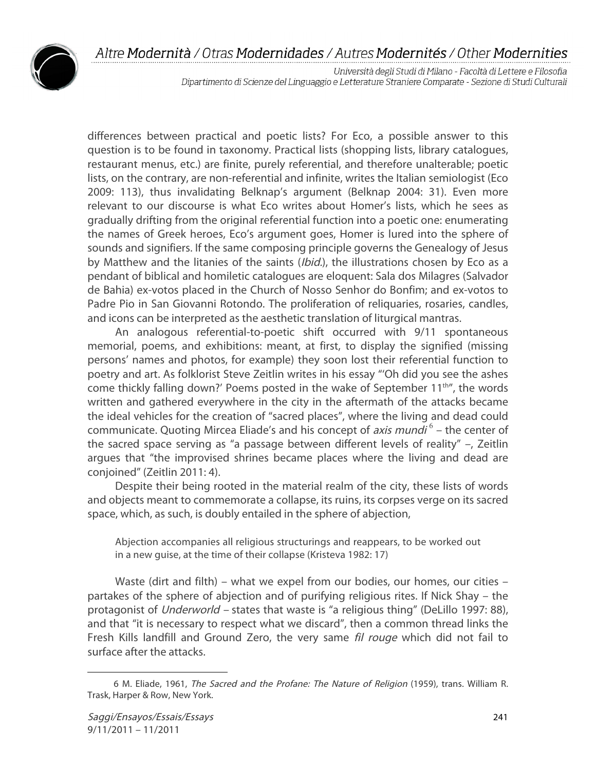

Università degli Studi di Milano - Facoltà di Lettere e Filosofia Dipartimento di Scienze del Linguaggio e Letterature Straniere Comparate - Sezione di Studi Culturali

differences between practical and poetic lists? For Eco, a possible answer to this question is to be found in taxonomy. Practical lists (shopping lists, library catalogues, restaurant menus, etc.) are finite, purely referential, and therefore unalterable; poetic lists, on the contrary, are non-referential and infinite, writes the Italian semiologist (Eco 2009: 113), thus invalidating Belknap's argument (Belknap 2004: 31). Even more relevant to our discourse is what Eco writes about Homer's lists, which he sees as gradually drifting from the original referential function into a poetic one: enumerating the names of Greek heroes, Eco's argument goes, Homer is lured into the sphere of sounds and signifiers. If the same composing principle governs the Genealogy of Jesus by Matthew and the litanies of the saints (Ibid.), the illustrations chosen by Eco as a pendant of biblical and homiletic catalogues are eloquent: Sala dos Milagres (Salvador de Bahia) ex-votos placed in the Church of Nosso Senhor do Bonfim; and ex-votos to Padre Pio in San Giovanni Rotondo. The proliferation of reliquaries, rosaries, candles, and icons can be interpreted as the aesthetic translation of liturgical mantras.

An analogous referential-to-poetic shift occurred with 9/11 spontaneous memorial, poems, and exhibitions: meant, at first, to display the signified (missing persons' names and photos, for example) they soon lost their referential function to poetry and art. As folklorist Steve Zeitlin writes in his essay "'Oh did you see the ashes come thickly falling down?' Poems posted in the wake of September 11<sup>th"</sup>, the words written and gathered everywhere in the city in the aftermath of the attacks became the ideal vehicles for the creation of "sacred places", where the living and dead could communicate. Quoting Mircea Eliade's and his concept of *axis mundi*  $6$  – the center of the sacred space serving as "a passage between different levels of reality" –, Zeitlin argues that "the improvised shrines became places where the living and dead are conjoined" (Zeitlin 2011: 4).

Despite their being rooted in the material realm of the city, these lists of words and objects meant to commemorate a collapse, its ruins, its corpses verge on its sacred space, which, as such, is doubly entailed in the sphere of abjection,

Abjection accompanies all religious structurings and reappears, to be worked out in a new guise, at the time of their collapse (Kristeva 1982: 17)

Waste (dirt and filth) – what we expel from our bodies, our homes, our cities – partakes of the sphere of abjection and of purifying religious rites. If Nick Shay – the protagonist of Underworld – states that waste is "a religious thing" (DeLillo 1997: 88), and that "it is necessary to respect what we discard", then a common thread links the Fresh Kills landfill and Ground Zero, the very same *fil rouge* which did not fail to surface after the attacks.

 $\overline{a}$ 6 M. Eliade, 1961, The Sacred and the Profane: The Nature of Religion (1959), trans. William R. Trask, Harper & Row, New York.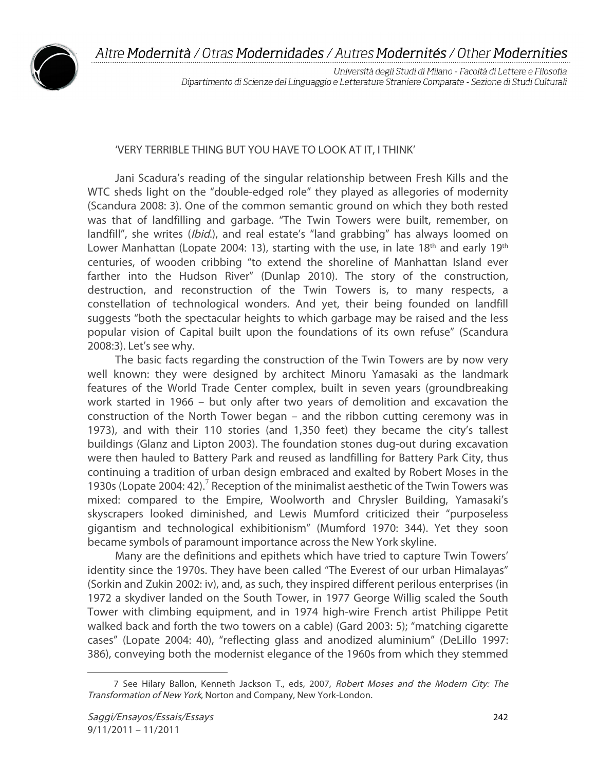

Università degli Studi di Milano - Facoltà di Lettere e Filosofia Dipartimento di Scienze del Linguaggio e Letterature Straniere Comparate - Sezione di Studi Culturali

## 'VERY TERRIBLE THING BUT YOU HAVE TO LOOK AT IT, I THINK'

Jani Scadura's reading of the singular relationship between Fresh Kills and the WTC sheds light on the "double-edged role" they played as allegories of modernity (Scandura 2008: 3). One of the common semantic ground on which they both rested was that of landfilling and garbage. "The Twin Towers were built, remember, on landfill", she writes (*Ibid*.), and real estate's "land grabbing" has always loomed on Lower Manhattan (Lopate 2004: 13), starting with the use, in late 18<sup>th</sup> and early 19<sup>th</sup> centuries, of wooden cribbing "to extend the shoreline of Manhattan Island ever farther into the Hudson River" (Dunlap 2010). The story of the construction, destruction, and reconstruction of the Twin Towers is, to many respects, a constellation of technological wonders. And yet, their being founded on landfill suggests "both the spectacular heights to which garbage may be raised and the less popular vision of Capital built upon the foundations of its own refuse" (Scandura 2008:3). Let's see why.

The basic facts regarding the construction of the Twin Towers are by now very well known: they were designed by architect Minoru Yamasaki as the landmark features of the World Trade Center complex, built in seven years (groundbreaking work started in 1966 – but only after two years of demolition and excavation the construction of the North Tower began – and the ribbon cutting ceremony was in 1973), and with their 110 stories (and 1,350 feet) they became the city's tallest buildings (Glanz and Lipton 2003). The foundation stones dug-out during excavation were then hauled to Battery Park and reused as landfilling for Battery Park City, thus continuing a tradition of urban design embraced and exalted by Robert Moses in the 1930s (Lopate 2004: 42).<sup>7</sup> Reception of the minimalist aesthetic of the Twin Towers was mixed: compared to the Empire, Woolworth and Chrysler Building, Yamasaki's skyscrapers looked diminished, and Lewis Mumford criticized their "purposeless gigantism and technological exhibitionism" (Mumford 1970: 344). Yet they soon became symbols of paramount importance across the New York skyline.

Many are the definitions and epithets which have tried to capture Twin Towers' identity since the 1970s. They have been called "The Everest of our urban Himalayas" (Sorkin and Zukin 2002: iv), and, as such, they inspired different perilous enterprises (in 1972 a skydiver landed on the South Tower, in 1977 George Willig scaled the South Tower with climbing equipment, and in 1974 high-wire French artist Philippe Petit walked back and forth the two towers on a cable) (Gard 2003: 5); "matching cigarette cases" (Lopate 2004: 40), "reflecting glass and anodized aluminium" (DeLillo 1997: 386), conveying both the modernist elegance of the 1960s from which they stemmed

 $\overline{a}$ 7 See Hilary Ballon, Kenneth Jackson T., eds, 2007, Robert Moses and the Modern City: The Transformation of New York, Norton and Company, New York-London.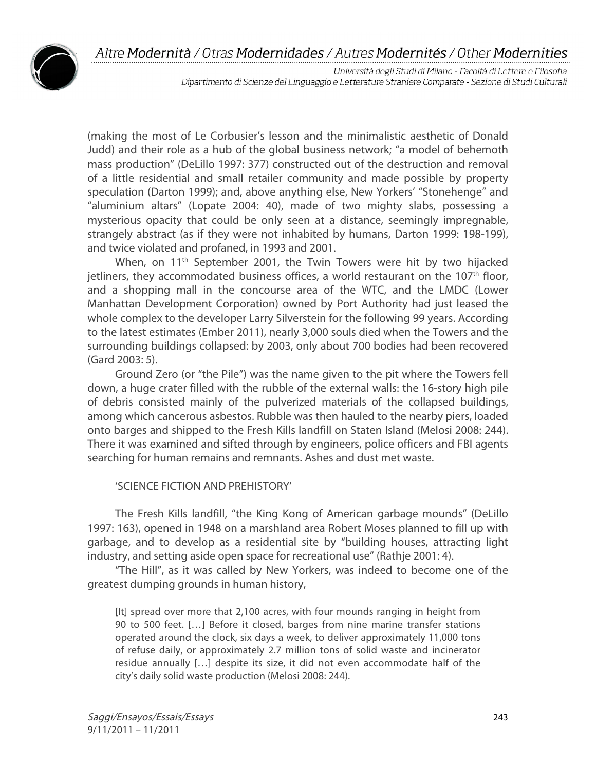

Università degli Studi di Milano - Facoltà di Lettere e Filosofia Dipartimento di Scienze del Linguaggio e Letterature Straniere Comparate - Sezione di Studi Culturali

(making the most of Le Corbusier's lesson and the minimalistic aesthetic of Donald Judd) and their role as a hub of the global business network; "a model of behemoth mass production" (DeLillo 1997: 377) constructed out of the destruction and removal of a little residential and small retailer community and made possible by property speculation (Darton 1999); and, above anything else, New Yorkers' "Stonehenge" and "aluminium altars" (Lopate 2004: 40), made of two mighty slabs, possessing a mysterious opacity that could be only seen at a distance, seemingly impregnable, strangely abstract (as if they were not inhabited by humans, Darton 1999: 198-199), and twice violated and profaned, in 1993 and 2001.

When, on 11<sup>th</sup> September 2001, the Twin Towers were hit by two hijacked jetliners, they accommodated business offices, a world restaurant on the  $107<sup>th</sup>$  floor, and a shopping mall in the concourse area of the WTC, and the LMDC (Lower Manhattan Development Corporation) owned by Port Authority had just leased the whole complex to the developer Larry Silverstein for the following 99 years. According to the latest estimates (Ember 2011), nearly 3,000 souls died when the Towers and the surrounding buildings collapsed: by 2003, only about 700 bodies had been recovered (Gard 2003: 5).

Ground Zero (or "the Pile") was the name given to the pit where the Towers fell down, a huge crater filled with the rubble of the external walls: the 16-story high pile of debris consisted mainly of the pulverized materials of the collapsed buildings, among which cancerous asbestos. Rubble was then hauled to the nearby piers, loaded onto barges and shipped to the Fresh Kills landfill on Staten Island (Melosi 2008: 244). There it was examined and sifted through by engineers, police officers and FBI agents searching for human remains and remnants. Ashes and dust met waste.

#### 'SCIENCE FICTION AND PREHISTORY'

The Fresh Kills landfill, "the King Kong of American garbage mounds" (DeLillo 1997: 163), opened in 1948 on a marshland area Robert Moses planned to fill up with garbage, and to develop as a residential site by "building houses, attracting light industry, and setting aside open space for recreational use" (Rathje 2001: 4).

"The Hill", as it was called by New Yorkers, was indeed to become one of the greatest dumping grounds in human history,

[It] spread over more that 2,100 acres, with four mounds ranging in height from 90 to 500 feet. […] Before it closed, barges from nine marine transfer stations operated around the clock, six days a week, to deliver approximately 11,000 tons of refuse daily, or approximately 2.7 million tons of solid waste and incinerator residue annually […] despite its size, it did not even accommodate half of the city's daily solid waste production (Melosi 2008: 244).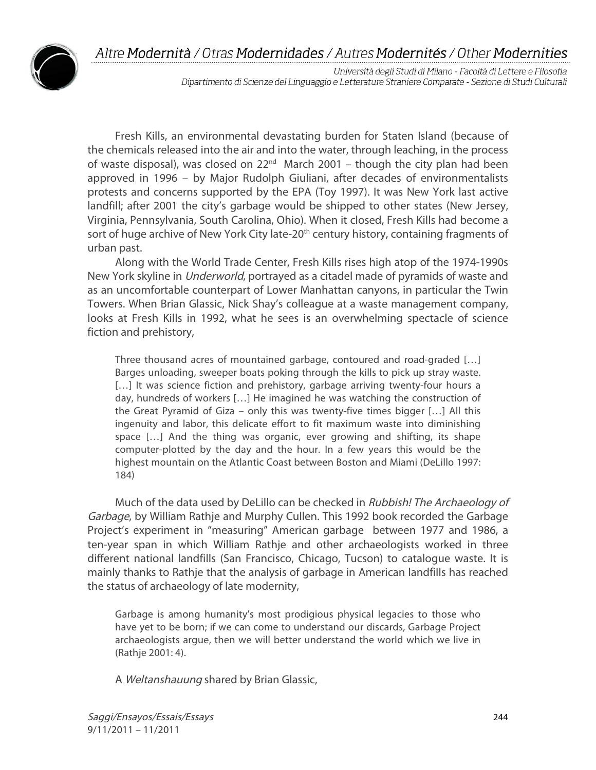

Università degli Studi di Milano - Facoltà di Lettere e Filosofia Dipartimento di Scienze del Linguaggio e Letterature Straniere Comparate - Sezione di Studi Culturali

Fresh Kills, an environmental devastating burden for Staten Island (because of the chemicals released into the air and into the water, through leaching, in the process of waste disposal), was closed on 22<sup>nd</sup> March 2001 – though the city plan had been approved in 1996 – by Major Rudolph Giuliani, after decades of environmentalists protests and concerns supported by the EPA (Toy 1997). It was New York last active landfill; after 2001 the city's garbage would be shipped to other states (New Jersey, Virginia, Pennsylvania, South Carolina, Ohio). When it closed, Fresh Kills had become a sort of huge archive of New York City late-20<sup>th</sup> century history, containing fragments of urban past.

Along with the World Trade Center, Fresh Kills rises high atop of the 1974-1990s New York skyline in *Underworld*, portrayed as a citadel made of pyramids of waste and as an uncomfortable counterpart of Lower Manhattan canyons, in particular the Twin Towers. When Brian Glassic, Nick Shay's colleague at a waste management company, looks at Fresh Kills in 1992, what he sees is an overwhelming spectacle of science fiction and prehistory,

Three thousand acres of mountained garbage, contoured and road-graded […] Barges unloading, sweeper boats poking through the kills to pick up stray waste. [...] It was science fiction and prehistory, garbage arriving twenty-four hours a day, hundreds of workers […] He imagined he was watching the construction of the Great Pyramid of Giza – only this was twenty-five times bigger […] All this ingenuity and labor, this delicate effort to fit maximum waste into diminishing space […] And the thing was organic, ever growing and shifting, its shape computer-plotted by the day and the hour. In a few years this would be the highest mountain on the Atlantic Coast between Boston and Miami (DeLillo 1997: 184)

Much of the data used by DeLillo can be checked in Rubbish! The Archaeology of Garbage, by William Rathje and Murphy Cullen. This 1992 book recorded the Garbage Project's experiment in "measuring" American garbage between 1977 and 1986, a ten-year span in which William Rathje and other archaeologists worked in three different national landfills (San Francisco, Chicago, Tucson) to catalogue waste. It is mainly thanks to Rathje that the analysis of garbage in American landfills has reached the status of archaeology of late modernity,

Garbage is among humanity's most prodigious physical legacies to those who have yet to be born; if we can come to understand our discards, Garbage Project archaeologists argue, then we will better understand the world which we live in (Rathje 2001: 4).

A Weltanshauung shared by Brian Glassic,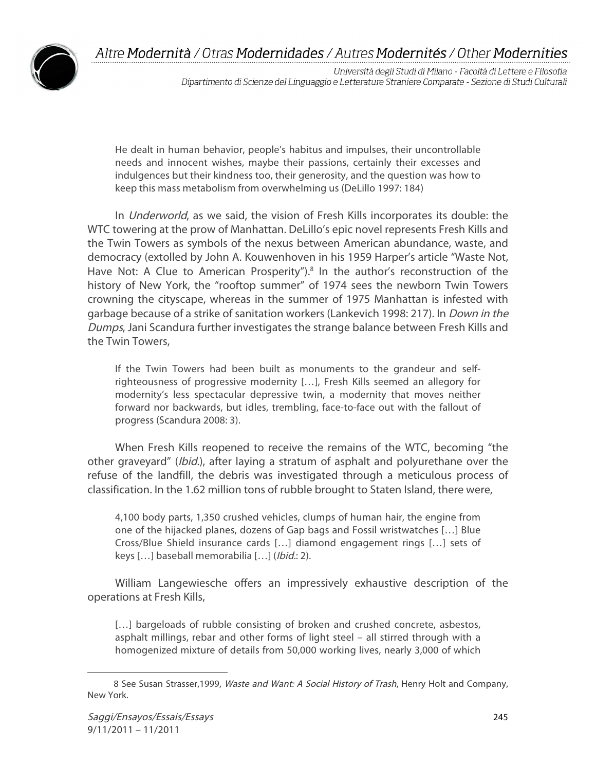

Università degli Studi di Milano - Facoltà di Lettere e Filosofia Dipartimento di Scienze del Linguaggio e Letterature Straniere Comparate - Sezione di Studi Culturali

He dealt in human behavior, people's habitus and impulses, their uncontrollable needs and innocent wishes, maybe their passions, certainly their excesses and indulgences but their kindness too, their generosity, and the question was how to keep this mass metabolism from overwhelming us (DeLillo 1997: 184)

In *Underworld*, as we said, the vision of Fresh Kills incorporates its double: the WTC towering at the prow of Manhattan. DeLillo's epic novel represents Fresh Kills and the Twin Towers as symbols of the nexus between American abundance, waste, and democracy (extolled by John A. Kouwenhoven in his 1959 Harper's article "Waste Not, Have Not: A Clue to American Prosperity").<sup>8</sup> In the author's reconstruction of the history of New York, the "rooftop summer" of 1974 sees the newborn Twin Towers crowning the cityscape, whereas in the summer of 1975 Manhattan is infested with garbage because of a strike of sanitation workers (Lankevich 1998: 217). In Down in the Dumps, Jani Scandura further investigates the strange balance between Fresh Kills and the Twin Towers,

If the Twin Towers had been built as monuments to the grandeur and selfrighteousness of progressive modernity […], Fresh Kills seemed an allegory for modernity's less spectacular depressive twin, a modernity that moves neither forward nor backwards, but idles, trembling, face-to-face out with the fallout of progress (Scandura 2008: 3).

When Fresh Kills reopened to receive the remains of the WTC, becoming "the other graveyard" (Ibid.), after laying a stratum of asphalt and polyurethane over the refuse of the landfill, the debris was investigated through a meticulous process of classification. In the 1.62 million tons of rubble brought to Staten Island, there were,

4,100 body parts, 1,350 crushed vehicles, clumps of human hair, the engine from one of the hijacked planes, dozens of Gap bags and Fossil wristwatches […] Blue Cross/Blue Shield insurance cards […] diamond engagement rings […] sets of keys [...] baseball memorabilia [...] (Ibid.: 2).

William Langewiesche offers an impressively exhaustive description of the operations at Fresh Kills,

[...] bargeloads of rubble consisting of broken and crushed concrete, asbestos, asphalt millings, rebar and other forms of light steel – all stirred through with a homogenized mixture of details from 50,000 working lives, nearly 3,000 of which

<sup>8</sup> See Susan Strasser,1999, Waste and Want: A Social History of Trash, Henry Holt and Company, New York.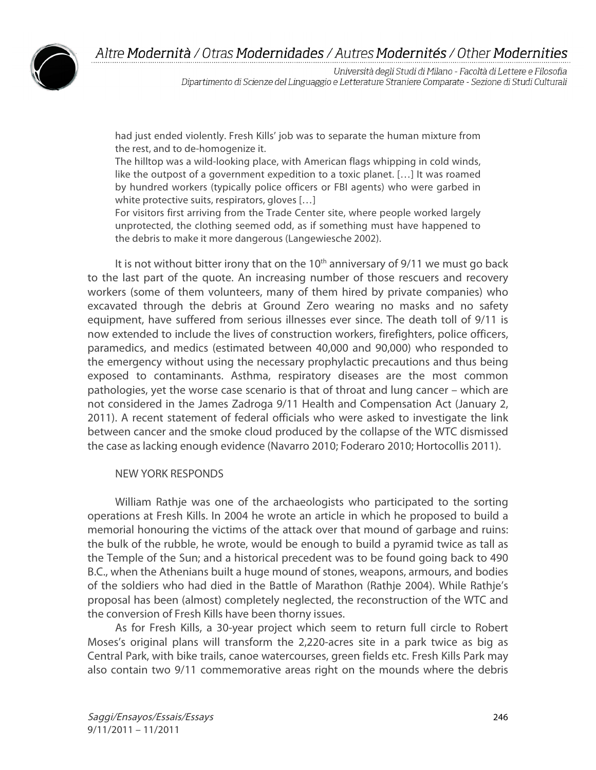

Università degli Studi di Milano - Facoltà di Lettere e Filosofia Dipartimento di Scienze del Linguaggio e Letterature Straniere Comparate - Sezione di Studi Culturali

had just ended violently. Fresh Kills' job was to separate the human mixture from the rest, and to de-homogenize it.

The hilltop was a wild-looking place, with American flags whipping in cold winds, like the outpost of a government expedition to a toxic planet. […] It was roamed by hundred workers (typically police officers or FBI agents) who were garbed in white protective suits, respirators, gloves […]

For visitors first arriving from the Trade Center site, where people worked largely unprotected, the clothing seemed odd, as if something must have happened to the debris to make it more dangerous (Langewiesche 2002).

It is not without bitter irony that on the  $10<sup>th</sup>$  anniversary of 9/11 we must go back to the last part of the quote. An increasing number of those rescuers and recovery workers (some of them volunteers, many of them hired by private companies) who excavated through the debris at Ground Zero wearing no masks and no safety equipment, have suffered from serious illnesses ever since. The death toll of 9/11 is now extended to include the lives of construction workers, firefighters, police officers, paramedics, and medics (estimated between 40,000 and 90,000) who responded to the emergency without using the necessary prophylactic precautions and thus being exposed to contaminants. Asthma, respiratory diseases are the most common pathologies, yet the worse case scenario is that of throat and lung cancer – which are not considered in the James Zadroga 9/11 Health and Compensation Act (January 2, 2011). A recent statement of federal officials who were asked to investigate the link between cancer and the smoke cloud produced by the collapse of the WTC dismissed the case as lacking enough evidence (Navarro 2010; Foderaro 2010; Hortocollis 2011).

#### NEW YORK RESPONDS

William Rathje was one of the archaeologists who participated to the sorting operations at Fresh Kills. In 2004 he wrote an article in which he proposed to build a memorial honouring the victims of the attack over that mound of garbage and ruins: the bulk of the rubble, he wrote, would be enough to build a pyramid twice as tall as the Temple of the Sun; and a historical precedent was to be found going back to 490 B.C., when the Athenians built a huge mound of stones, weapons, armours, and bodies of the soldiers who had died in the Battle of Marathon (Rathje 2004). While Rathje's proposal has been (almost) completely neglected, the reconstruction of the WTC and the conversion of Fresh Kills have been thorny issues.

As for Fresh Kills, a 30-year project which seem to return full circle to Robert Moses's original plans will transform the 2,220-acres site in a park twice as big as Central Park, with bike trails, canoe watercourses, green fields etc. Fresh Kills Park may also contain two 9/11 commemorative areas right on the mounds where the debris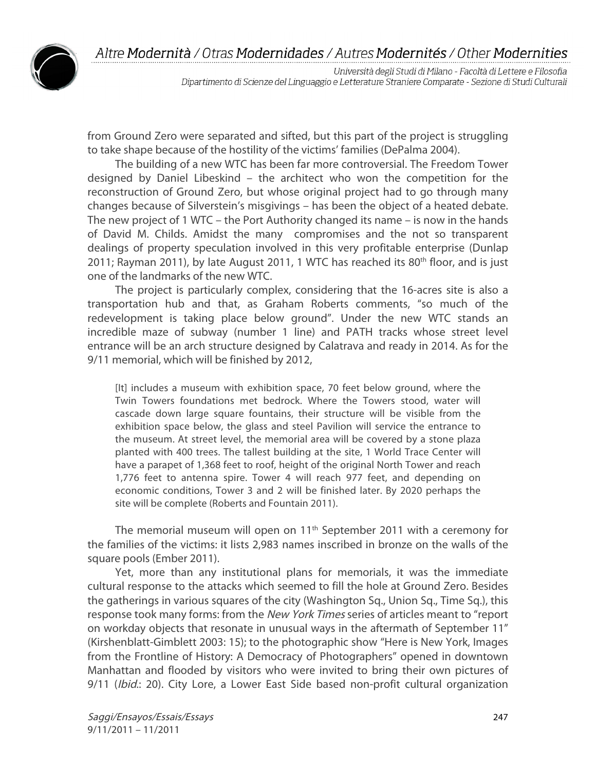

Università degli Studi di Milano - Facoltà di Lettere e Filosofia Dipartimento di Scienze del Linguaggio e Letterature Straniere Comparate - Sezione di Studi Culturali

from Ground Zero were separated and sifted, but this part of the project is struggling to take shape because of the hostility of the victims' families (DePalma 2004).

The building of a new WTC has been far more controversial. The Freedom Tower designed by Daniel Libeskind – the architect who won the competition for the reconstruction of Ground Zero, but whose original project had to go through many changes because of Silverstein's misgivings – has been the object of a heated debate. The new project of 1 WTC – the Port Authority changed its name – is now in the hands of David M. Childs. Amidst the many compromises and the not so transparent dealings of property speculation involved in this very profitable enterprise (Dunlap 2011; Rayman 2011), by late August 2011, 1 WTC has reached its 80<sup>th</sup> floor, and is just one of the landmarks of the new WTC.

The project is particularly complex, considering that the 16-acres site is also a transportation hub and that, as Graham Roberts comments, "so much of the redevelopment is taking place below ground". Under the new WTC stands an incredible maze of subway (number 1 line) and PATH tracks whose street level entrance will be an arch structure designed by Calatrava and ready in 2014. As for the 9/11 memorial, which will be finished by 2012,

[It] includes a museum with exhibition space, 70 feet below ground, where the Twin Towers foundations met bedrock. Where the Towers stood, water will cascade down large square fountains, their structure will be visible from the exhibition space below, the glass and steel Pavilion will service the entrance to the museum. At street level, the memorial area will be covered by a stone plaza planted with 400 trees. The tallest building at the site, 1 World Trace Center will have a parapet of 1,368 feet to roof, height of the original North Tower and reach 1,776 feet to antenna spire. Tower 4 will reach 977 feet, and depending on economic conditions, Tower 3 and 2 will be finished later. By 2020 perhaps the site will be complete (Roberts and Fountain 2011).

The memorial museum will open on 11<sup>th</sup> September 2011 with a ceremony for the families of the victims: it lists 2,983 names inscribed in bronze on the walls of the square pools (Ember 2011).

Yet, more than any institutional plans for memorials, it was the immediate cultural response to the attacks which seemed to fill the hole at Ground Zero. Besides the gatherings in various squares of the city (Washington Sq., Union Sq., Time Sq.), this response took many forms: from the New York Times series of articles meant to "report on workday objects that resonate in unusual ways in the aftermath of September 11" (Kirshenblatt-Gimblett 2003: 15); to the photographic show "Here is New York, Images from the Frontline of History: A Democracy of Photographers" opened in downtown Manhattan and flooded by visitors who were invited to bring their own pictures of 9/11 (Ibid.: 20). City Lore, a Lower East Side based non-profit cultural organization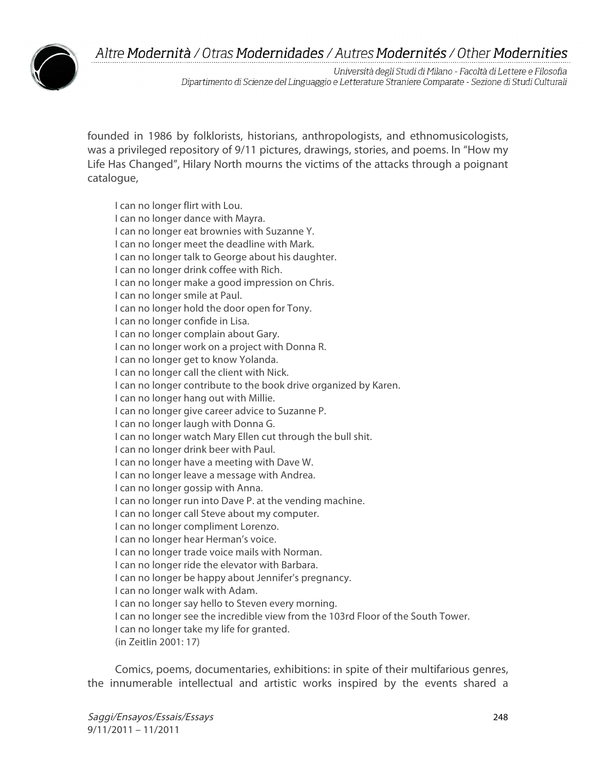

Università degli Studi di Milano - Facoltà di Lettere e Filosofia Dipartimento di Scienze del Linguaggio e Letterature Straniere Comparate - Sezione di Studi Culturali

founded in 1986 by folklorists, historians, anthropologists, and ethnomusicologists, was a privileged repository of 9/11 pictures, drawings, stories, and poems. In "How my Life Has Changed", Hilary North mourns the victims of the attacks through a poignant catalogue,

I can no longer flirt with Lou. I can no longer dance with Mayra. I can no longer eat brownies with Suzanne Y. I can no longer meet the deadline with Mark. I can no longer talk to George about his daughter. I can no longer drink coffee with Rich. I can no longer make a good impression on Chris. I can no longer smile at Paul. I can no longer hold the door open for Tony. I can no longer confide in Lisa. I can no longer complain about Gary. I can no longer work on a project with Donna R. I can no longer get to know Yolanda. I can no longer call the client with Nick. I can no longer contribute to the book drive organized by Karen. I can no longer hang out with Millie. I can no longer give career advice to Suzanne P. I can no longer laugh with Donna G. I can no longer watch Mary Ellen cut through the bull shit. I can no longer drink beer with Paul. I can no longer have a meeting with Dave W. I can no longer leave a message with Andrea. I can no longer gossip with Anna. I can no longer run into Dave P. at the vending machine. I can no longer call Steve about my computer. I can no longer compliment Lorenzo. I can no longer hear Herman's voice. I can no longer trade voice mails with Norman. I can no longer ride the elevator with Barbara. I can no longer be happy about Jennifer's pregnancy. I can no longer walk with Adam. I can no longer say hello to Steven every morning. I can no longer see the incredible view from the 103rd Floor of the South Tower. I can no longer take my life for granted. (in Zeitlin 2001: 17)

Comics, poems, documentaries, exhibitions: in spite of their multifarious genres, the innumerable intellectual and artistic works inspired by the events shared a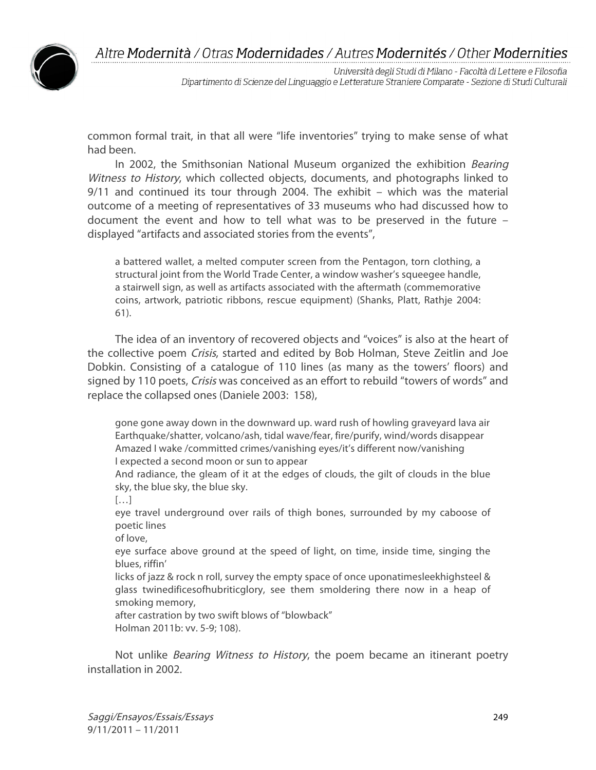

Università degli Studi di Milano - Facoltà di Lettere e Filosofia Dipartimento di Scienze del Linguaggio e Letterature Straniere Comparate - Sezione di Studi Culturali

common formal trait, in that all were "life inventories" trying to make sense of what had been.

In 2002, the Smithsonian National Museum organized the exhibition *Bearing* Witness to History, which collected objects, documents, and photographs linked to 9/11 and continued its tour through 2004. The exhibit – which was the material outcome of a meeting of representatives of 33 museums who had discussed how to document the event and how to tell what was to be preserved in the future – displayed "artifacts and associated stories from the events",

a battered wallet, a melted computer screen from the Pentagon, torn clothing, a structural joint from the World Trade Center, a window washer's squeegee handle, a stairwell sign, as well as artifacts associated with the aftermath (commemorative coins, artwork, patriotic ribbons, rescue equipment) (Shanks, Platt, Rathje 2004: 61).

The idea of an inventory of recovered objects and "voices" is also at the heart of the collective poem *Crisis*, started and edited by Bob Holman, Steve Zeitlin and Joe Dobkin. Consisting of a catalogue of 110 lines (as many as the towers' floors) and signed by 110 poets, Crisis was conceived as an effort to rebuild "towers of words" and replace the collapsed ones (Daniele 2003: 158),

gone gone away down in the downward up. ward rush of howling graveyard lava air Earthquake/shatter, volcano/ash, tidal wave/fear, fire/purify, wind/words disappear Amazed I wake /committed crimes/vanishing eyes/it's different now/vanishing I expected a second moon or sun to appear

And radiance, the gleam of it at the edges of clouds, the gilt of clouds in the blue sky, the blue sky, the blue sky.

 $[\ldots]$ 

eye travel underground over rails of thigh bones, surrounded by my caboose of poetic lines

of love,

eye surface above ground at the speed of light, on time, inside time, singing the blues, riffin'

licks of jazz & rock n roll, survey the empty space of once uponatimesleekhighsteel & glass twinedificesofhubriticglory, see them smoldering there now in a heap of smoking memory,

after castration by two swift blows of "blowback" Holman 2011b: vv. 5-9; 108).

Not unlike *Bearing Witness to History*, the poem became an itinerant poetry installation in 2002.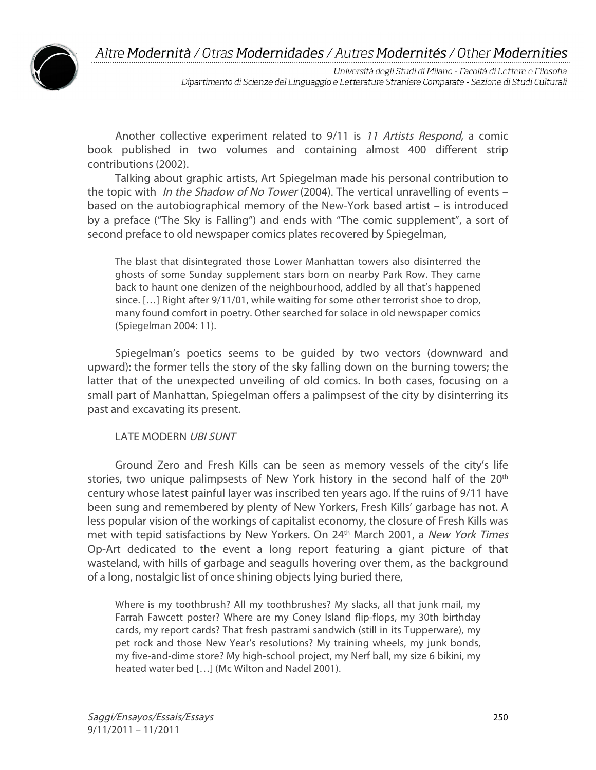

Università degli Studi di Milano - Facoltà di Lettere e Filosofia Dipartimento di Scienze del Linguaggio e Letterature Straniere Comparate - Sezione di Studi Culturali

Another collective experiment related to 9/11 is 11 Artists Respond, a comic book published in two volumes and containing almost 400 different strip contributions (2002).

Talking about graphic artists, Art Spiegelman made his personal contribution to the topic with In the Shadow of No Tower (2004). The vertical unravelling of events  $$ based on the autobiographical memory of the New-York based artist – is introduced by a preface ("The Sky is Falling") and ends with "The comic supplement", a sort of second preface to old newspaper comics plates recovered by Spiegelman,

The blast that disintegrated those Lower Manhattan towers also disinterred the ghosts of some Sunday supplement stars born on nearby Park Row. They came back to haunt one denizen of the neighbourhood, addled by all that's happened since. […] Right after 9/11/01, while waiting for some other terrorist shoe to drop, many found comfort in poetry. Other searched for solace in old newspaper comics (Spiegelman 2004: 11).

Spiegelman's poetics seems to be guided by two vectors (downward and upward): the former tells the story of the sky falling down on the burning towers; the latter that of the unexpected unveiling of old comics. In both cases, focusing on a small part of Manhattan, Spiegelman offers a palimpsest of the city by disinterring its past and excavating its present.

## LATE MODERN UBI SUNT

Ground Zero and Fresh Kills can be seen as memory vessels of the city's life stories, two unique palimpsests of New York history in the second half of the  $20<sup>th</sup>$ century whose latest painful layer was inscribed ten years ago. If the ruins of 9/11 have been sung and remembered by plenty of New Yorkers, Fresh Kills' garbage has not. A less popular vision of the workings of capitalist economy, the closure of Fresh Kills was met with tepid satisfactions by New Yorkers. On 24<sup>th</sup> March 2001, a New York Times Op-Art dedicated to the event a long report featuring a giant picture of that wasteland, with hills of garbage and seagulls hovering over them, as the background of a long, nostalgic list of once shining objects lying buried there,

Where is my toothbrush? All my toothbrushes? My slacks, all that junk mail, my Farrah Fawcett poster? Where are my Coney Island flip-flops, my 30th birthday cards, my report cards? That fresh pastrami sandwich (still in its Tupperware), my pet rock and those New Year's resolutions? My training wheels, my junk bonds, my five-and-dime store? My high-school project, my Nerf ball, my size 6 bikini, my heated water bed […] (Mc Wilton and Nadel 2001).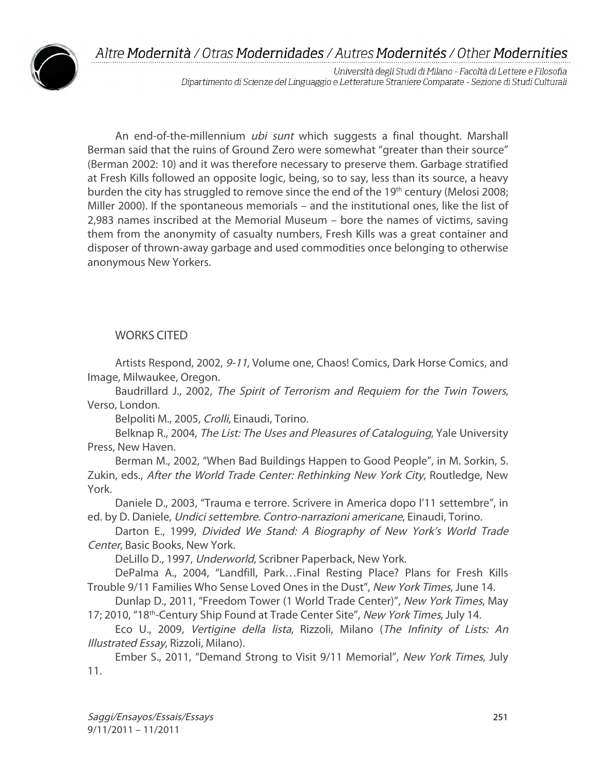

Università degli Studi di Milano - Facoltà di Lettere e Filosofia Dipartimento di Scienze del Linguaggio e Letterature Straniere Comparate - Sezione di Studi Culturali

An end-of-the-millennium *ubi sunt* which suggests a final thought. Marshall Berman said that the ruins of Ground Zero were somewhat "greater than their source" (Berman 2002: 10) and it was therefore necessary to preserve them. Garbage stratified at Fresh Kills followed an opposite logic, being, so to say, less than its source, a heavy burden the city has struggled to remove since the end of the 19<sup>th</sup> century (Melosi 2008; Miller 2000). If the spontaneous memorials – and the institutional ones, like the list of 2,983 names inscribed at the Memorial Museum – bore the names of victims, saving them from the anonymity of casualty numbers, Fresh Kills was a great container and disposer of thrown-away garbage and used commodities once belonging to otherwise anonymous New Yorkers.

# WORKS CITED

Artists Respond, 2002, 9-11, Volume one, Chaos! Comics, Dark Horse Comics, and Image, Milwaukee, Oregon.

Baudrillard J., 2002, The Spirit of Terrorism and Requiem for the Twin Towers, Verso, London.

Belpoliti M., 2005, Crolli, Einaudi, Torino.

Belknap R., 2004, The List: The Uses and Pleasures of Cataloguing, Yale University Press, New Haven.

Berman M., 2002, "When Bad Buildings Happen to Good People", in M. Sorkin, S. Zukin, eds., After the World Trade Center: Rethinking New York City, Routledge, New York.

Daniele D., 2003, "Trauma e terrore. Scrivere in America dopo l'11 settembre", in ed. by D. Daniele, Undici settembre. Contro-narrazioni americane, Einaudi, Torino.

Darton E., 1999, Divided We Stand: A Biography of New York's World Trade Center, Basic Books, New York.

DeLillo D., 1997, Underworld, Scribner Paperback, New York.

DePalma A., 2004, "Landfill, Park…Final Resting Place? Plans for Fresh Kills Trouble 9/11 Families Who Sense Loved Ones in the Dust", New York Times, June 14.

Dunlap D., 2011, "Freedom Tower (1 World Trade Center)", New York Times, May 17; 2010, "18<sup>th</sup>-Century Ship Found at Trade Center Site", New York Times, July 14.

Eco U., 2009, Vertigine della lista, Rizzoli, Milano (The Infinity of Lists: An Illustrated Essay, Rizzoli, Milano).

Ember S., 2011, "Demand Strong to Visit 9/11 Memorial", New York Times, July 11.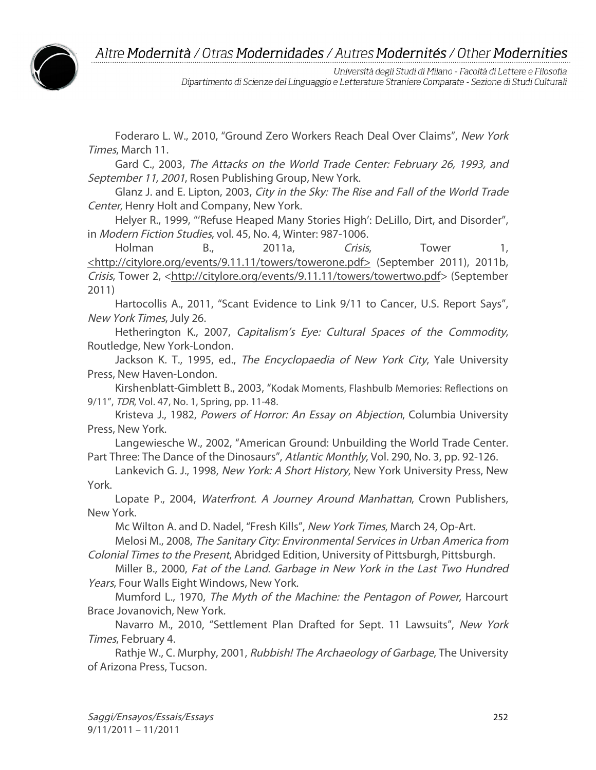

Università degli Studi di Milano - Facoltà di Lettere e Filosofia Dipartimento di Scienze del Linguaggio e Letterature Straniere Comparate - Sezione di Studi Culturali

Foderaro L. W., 2010, "Ground Zero Workers Reach Deal Over Claims", New York Times, March 11.

Gard C., 2003, The Attacks on the World Trade Center: February 26, 1993, and September 11, 2001, Rosen Publishing Group, New York.

Glanz J. and E. Lipton, 2003, City in the Sky: The Rise and Fall of the World Trade Center, Henry Holt and Company, New York.

Helyer R., 1999, "'Refuse Heaped Many Stories High': DeLillo, Dirt, and Disorder", in Modern Fiction Studies, vol. 45, No. 4, Winter: 987-1006.

Holman B., 2011a, *Crisis*, Tower 1, <http://citylore.org/events/9.11.11/towers/towerone.pdf> (September 2011), 2011b, Crisis, Tower 2, <http://citylore.org/events/9.11.11/towers/towertwo.pdf> (September 2011)

Hartocollis A., 2011, "Scant Evidence to Link 9/11 to Cancer, U.S. Report Says", New York Times, July 26.

Hetherington K., 2007, Capitalism's Eye: Cultural Spaces of the Commodity, Routledge, New York-London.

Jackson K. T., 1995, ed., The Encyclopaedia of New York City, Yale University Press, New Haven-London.

Kirshenblatt-Gimblett B., 2003, "Kodak Moments, Flashbulb Memories: Reflections on 9/11", TDR, Vol. 47, No. 1, Spring, pp. 11-48.

Kristeva J., 1982, Powers of Horror: An Essay on Abjection, Columbia University Press, New York.

Langewiesche W., 2002, "American Ground: Unbuilding the World Trade Center. Part Three: The Dance of the Dinosaurs", Atlantic Monthly, Vol. 290, No. 3, pp. 92-126.

Lankevich G. J., 1998, New York: A Short History, New York University Press, New York.

Lopate P., 2004, Waterfront. A Journey Around Manhattan, Crown Publishers, New York.

Mc Wilton A. and D. Nadel, "Fresh Kills", New York Times, March 24, Op-Art.

Melosi M., 2008, The Sanitary City: Environmental Services in Urban America from Colonial Times to the Present, Abridged Edition, University of Pittsburgh, Pittsburgh.

Miller B., 2000, Fat of the Land. Garbage in New York in the Last Two Hundred Years, Four Walls Eight Windows, New York.

Mumford L., 1970, The Myth of the Machine: the Pentagon of Power, Harcourt Brace Jovanovich, New York.

Navarro M., 2010, "Settlement Plan Drafted for Sept. 11 Lawsuits", New York Times, February 4.

Rathje W., C. Murphy, 2001, Rubbish! The Archaeology of Garbage, The University of Arizona Press, Tucson.